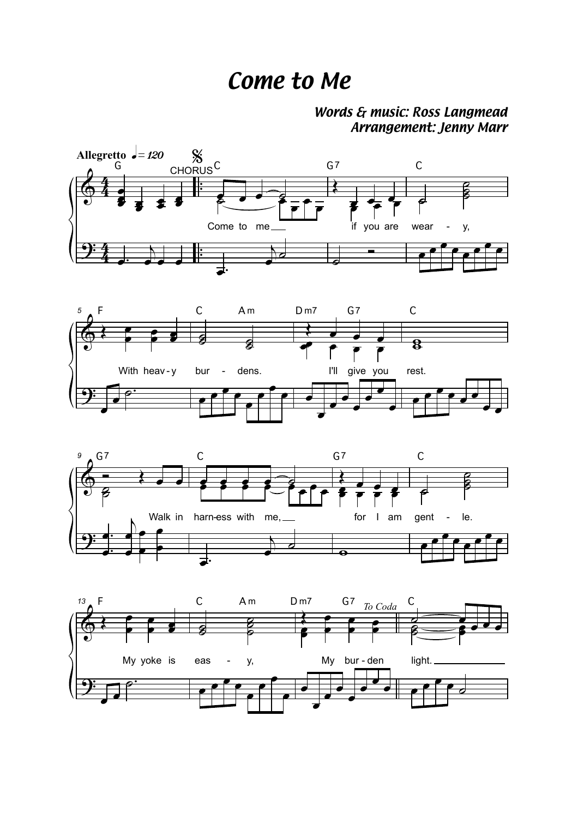## Come to Me

## Words & music: Ross Langmead Arrangement: Jenny Marr







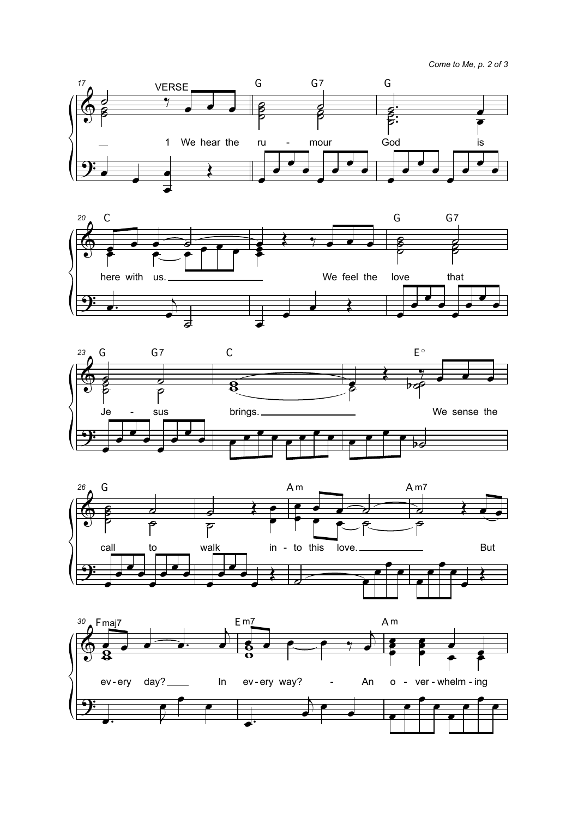*Come to Me, p. 2 of 3*